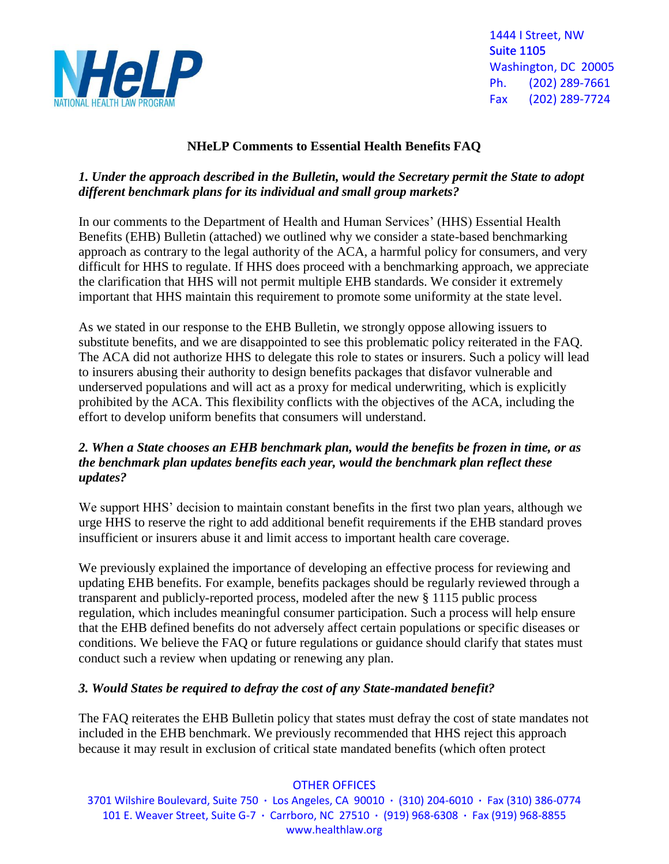

1444 I Street, NW Suite 1105 Washington, DC 20005 Ph. (202) 289-7661 Fax (202) 289-7724

# **NHeLP Comments to Essential Health Benefits FAQ**

### *1. Under the approach described in the Bulletin, would the Secretary permit the State to adopt different benchmark plans for its individual and small group markets?*

In our comments to the Department of Health and Human Services' (HHS) Essential Health Benefits (EHB) Bulletin (attached) we outlined why we consider a state-based benchmarking approach as contrary to the legal authority of the ACA, a harmful policy for consumers, and very difficult for HHS to regulate. If HHS does proceed with a benchmarking approach, we appreciate the clarification that HHS will not permit multiple EHB standards. We consider it extremely important that HHS maintain this requirement to promote some uniformity at the state level.

As we stated in our response to the EHB Bulletin, we strongly oppose allowing issuers to substitute benefits, and we are disappointed to see this problematic policy reiterated in the FAQ. The ACA did not authorize HHS to delegate this role to states or insurers. Such a policy will lead to insurers abusing their authority to design benefits packages that disfavor vulnerable and underserved populations and will act as a proxy for medical underwriting, which is explicitly prohibited by the ACA. This flexibility conflicts with the objectives of the ACA, including the effort to develop uniform benefits that consumers will understand.

### *2. When a State chooses an EHB benchmark plan, would the benefits be frozen in time, or as the benchmark plan updates benefits each year, would the benchmark plan reflect these updates?*

We support HHS' decision to maintain constant benefits in the first two plan years, although we urge HHS to reserve the right to add additional benefit requirements if the EHB standard proves insufficient or insurers abuse it and limit access to important health care coverage.

We previously explained the importance of developing an effective process for reviewing and updating EHB benefits. For example, benefits packages should be regularly reviewed through a transparent and publicly-reported process, modeled after the new § 1115 public process regulation, which includes meaningful consumer participation. Such a process will help ensure that the EHB defined benefits do not adversely affect certain populations or specific diseases or conditions. We believe the FAQ or future regulations or guidance should clarify that states must conduct such a review when updating or renewing any plan.

#### *3. Would States be required to defray the cost of any State-mandated benefit?*

The FAQ reiterates the EHB Bulletin policy that states must defray the cost of state mandates not included in the EHB benchmark. We previously recommended that HHS reject this approach because it may result in exclusion of critical state mandated benefits (which often protect

#### OTHER OFFICES

3701 Wilshire Boulevard, Suite 750 **·** Los Angeles, CA 90010 **·** (310) 204-6010 **·** Fax (310) 386-0774 101 E. Weaver Street, Suite G-7 **·** Carrboro, NC 27510 **·** (919) 968-6308 **·** Fax (919) 968-8855 www.healthlaw.org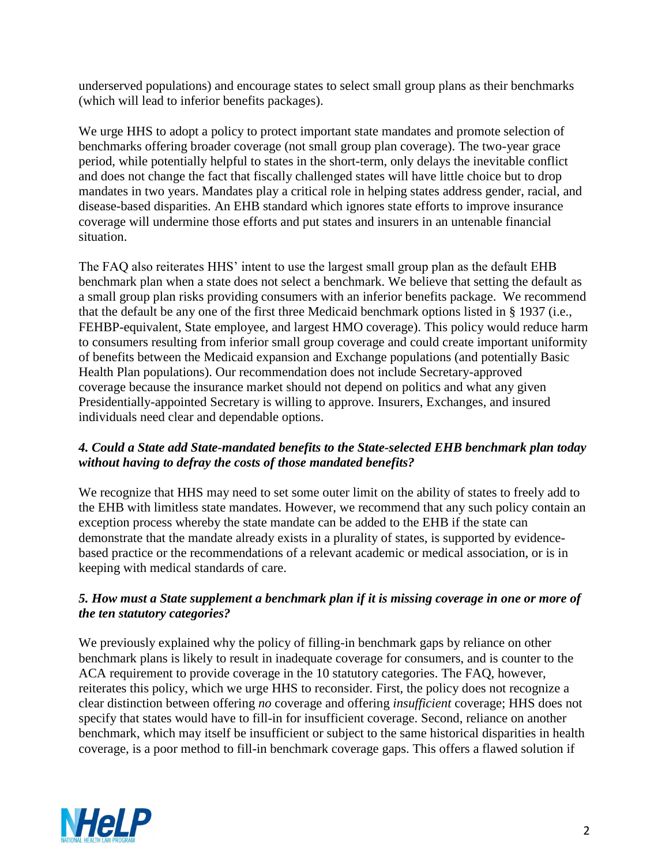underserved populations) and encourage states to select small group plans as their benchmarks (which will lead to inferior benefits packages).

We urge HHS to adopt a policy to protect important state mandates and promote selection of benchmarks offering broader coverage (not small group plan coverage). The two-year grace period, while potentially helpful to states in the short-term, only delays the inevitable conflict and does not change the fact that fiscally challenged states will have little choice but to drop mandates in two years. Mandates play a critical role in helping states address gender, racial, and disease-based disparities. An EHB standard which ignores state efforts to improve insurance coverage will undermine those efforts and put states and insurers in an untenable financial situation.

The FAQ also reiterates HHS' intent to use the largest small group plan as the default EHB benchmark plan when a state does not select a benchmark. We believe that setting the default as a small group plan risks providing consumers with an inferior benefits package. We recommend that the default be any one of the first three Medicaid benchmark options listed in § 1937 (i.e., FEHBP-equivalent, State employee, and largest HMO coverage). This policy would reduce harm to consumers resulting from inferior small group coverage and could create important uniformity of benefits between the Medicaid expansion and Exchange populations (and potentially Basic Health Plan populations). Our recommendation does not include Secretary-approved coverage because the insurance market should not depend on politics and what any given Presidentially-appointed Secretary is willing to approve. Insurers, Exchanges, and insured individuals need clear and dependable options.

## *4. Could a State add State-mandated benefits to the State-selected EHB benchmark plan today without having to defray the costs of those mandated benefits?*

We recognize that HHS may need to set some outer limit on the ability of states to freely add to the EHB with limitless state mandates. However, we recommend that any such policy contain an exception process whereby the state mandate can be added to the EHB if the state can demonstrate that the mandate already exists in a plurality of states, is supported by evidencebased practice or the recommendations of a relevant academic or medical association, or is in keeping with medical standards of care.

# *5. How must a State supplement a benchmark plan if it is missing coverage in one or more of the ten statutory categories?*

We previously explained why the policy of filling-in benchmark gaps by reliance on other benchmark plans is likely to result in inadequate coverage for consumers, and is counter to the ACA requirement to provide coverage in the 10 statutory categories. The FAQ, however, reiterates this policy, which we urge HHS to reconsider. First, the policy does not recognize a clear distinction between offering *no* coverage and offering *insufficient* coverage; HHS does not specify that states would have to fill-in for insufficient coverage. Second, reliance on another benchmark, which may itself be insufficient or subject to the same historical disparities in health coverage, is a poor method to fill-in benchmark coverage gaps. This offers a flawed solution if

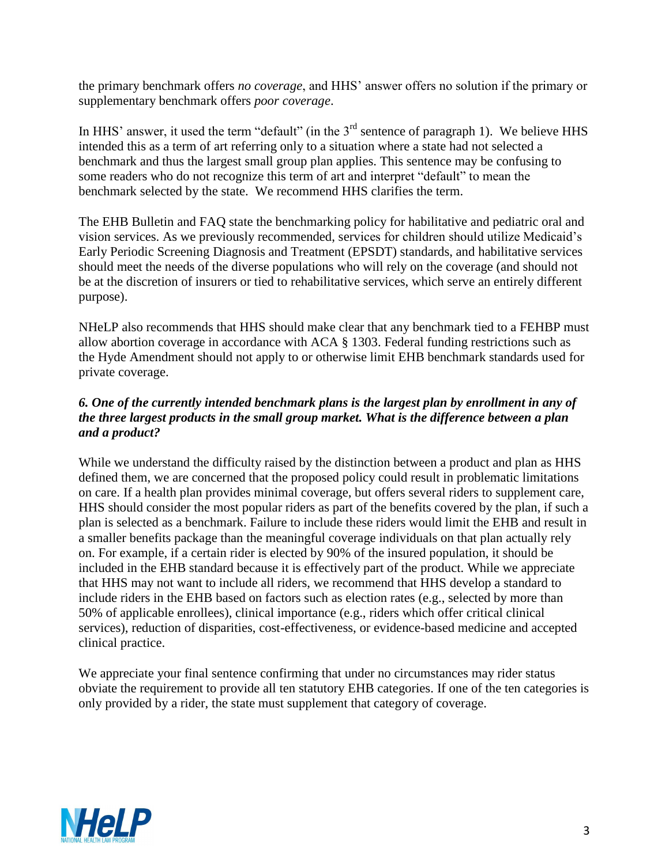the primary benchmark offers *no coverage*, and HHS' answer offers no solution if the primary or supplementary benchmark offers *poor coverage*.

In HHS' answer, it used the term "default" (in the 3<sup>rd</sup> sentence of paragraph 1). We believe HHS intended this as a term of art referring only to a situation where a state had not selected a benchmark and thus the largest small group plan applies. This sentence may be confusing to some readers who do not recognize this term of art and interpret "default" to mean the benchmark selected by the state. We recommend HHS clarifies the term.

The EHB Bulletin and FAQ state the benchmarking policy for habilitative and pediatric oral and vision services. As we previously recommended, services for children should utilize Medicaid's Early Periodic Screening Diagnosis and Treatment (EPSDT) standards, and habilitative services should meet the needs of the diverse populations who will rely on the coverage (and should not be at the discretion of insurers or tied to rehabilitative services, which serve an entirely different purpose).

NHeLP also recommends that HHS should make clear that any benchmark tied to a FEHBP must allow abortion coverage in accordance with ACA § 1303. Federal funding restrictions such as the Hyde Amendment should not apply to or otherwise limit EHB benchmark standards used for private coverage.

## *6. One of the currently intended benchmark plans is the largest plan by enrollment in any of the three largest products in the small group market. What is the difference between a plan and a product?*

While we understand the difficulty raised by the distinction between a product and plan as HHS defined them, we are concerned that the proposed policy could result in problematic limitations on care. If a health plan provides minimal coverage, but offers several riders to supplement care, HHS should consider the most popular riders as part of the benefits covered by the plan, if such a plan is selected as a benchmark. Failure to include these riders would limit the EHB and result in a smaller benefits package than the meaningful coverage individuals on that plan actually rely on. For example, if a certain rider is elected by 90% of the insured population, it should be included in the EHB standard because it is effectively part of the product. While we appreciate that HHS may not want to include all riders, we recommend that HHS develop a standard to include riders in the EHB based on factors such as election rates (e.g., selected by more than 50% of applicable enrollees), clinical importance (e.g., riders which offer critical clinical services), reduction of disparities, cost-effectiveness, or evidence-based medicine and accepted clinical practice.

We appreciate your final sentence confirming that under no circumstances may rider status obviate the requirement to provide all ten statutory EHB categories. If one of the ten categories is only provided by a rider, the state must supplement that category of coverage.

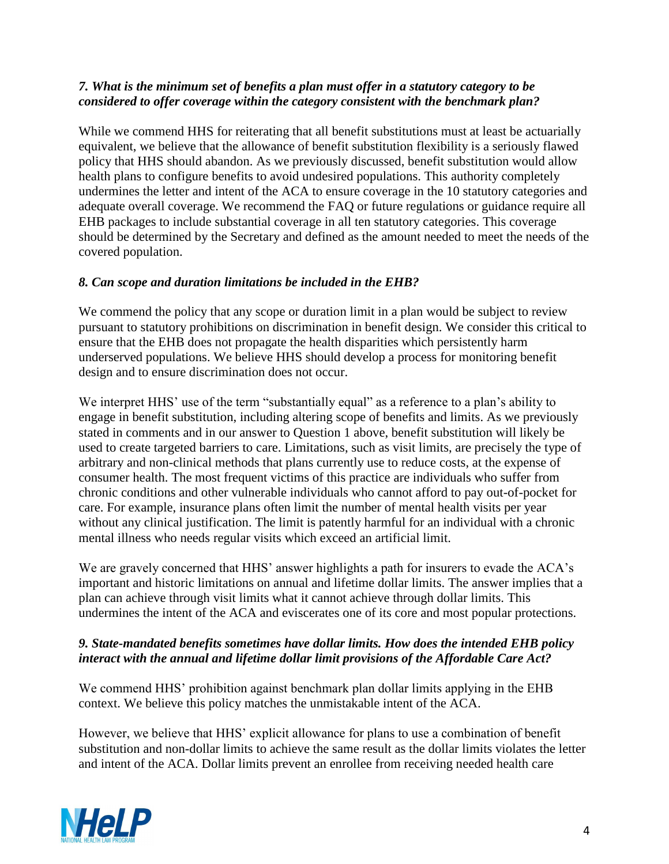### *7. What is the minimum set of benefits a plan must offer in a statutory category to be considered to offer coverage within the category consistent with the benchmark plan?*

While we commend HHS for reiterating that all benefit substitutions must at least be actuarially equivalent, we believe that the allowance of benefit substitution flexibility is a seriously flawed policy that HHS should abandon. As we previously discussed, benefit substitution would allow health plans to configure benefits to avoid undesired populations. This authority completely undermines the letter and intent of the ACA to ensure coverage in the 10 statutory categories and adequate overall coverage. We recommend the FAQ or future regulations or guidance require all EHB packages to include substantial coverage in all ten statutory categories. This coverage should be determined by the Secretary and defined as the amount needed to meet the needs of the covered population.

# *8. Can scope and duration limitations be included in the EHB?*

We commend the policy that any scope or duration limit in a plan would be subject to review pursuant to statutory prohibitions on discrimination in benefit design. We consider this critical to ensure that the EHB does not propagate the health disparities which persistently harm underserved populations. We believe HHS should develop a process for monitoring benefit design and to ensure discrimination does not occur.

We interpret HHS' use of the term "substantially equal" as a reference to a plan's ability to engage in benefit substitution, including altering scope of benefits and limits. As we previously stated in comments and in our answer to Question 1 above, benefit substitution will likely be used to create targeted barriers to care. Limitations, such as visit limits, are precisely the type of arbitrary and non-clinical methods that plans currently use to reduce costs, at the expense of consumer health. The most frequent victims of this practice are individuals who suffer from chronic conditions and other vulnerable individuals who cannot afford to pay out-of-pocket for care. For example, insurance plans often limit the number of mental health visits per year without any clinical justification. The limit is patently harmful for an individual with a chronic mental illness who needs regular visits which exceed an artificial limit.

We are gravely concerned that HHS' answer highlights a path for insurers to evade the ACA's important and historic limitations on annual and lifetime dollar limits. The answer implies that a plan can achieve through visit limits what it cannot achieve through dollar limits. This undermines the intent of the ACA and eviscerates one of its core and most popular protections.

#### *9. State-mandated benefits sometimes have dollar limits. How does the intended EHB policy interact with the annual and lifetime dollar limit provisions of the Affordable Care Act?*

We commend HHS' prohibition against benchmark plan dollar limits applying in the EHB context. We believe this policy matches the unmistakable intent of the ACA.

However, we believe that HHS' explicit allowance for plans to use a combination of benefit substitution and non-dollar limits to achieve the same result as the dollar limits violates the letter and intent of the ACA. Dollar limits prevent an enrollee from receiving needed health care

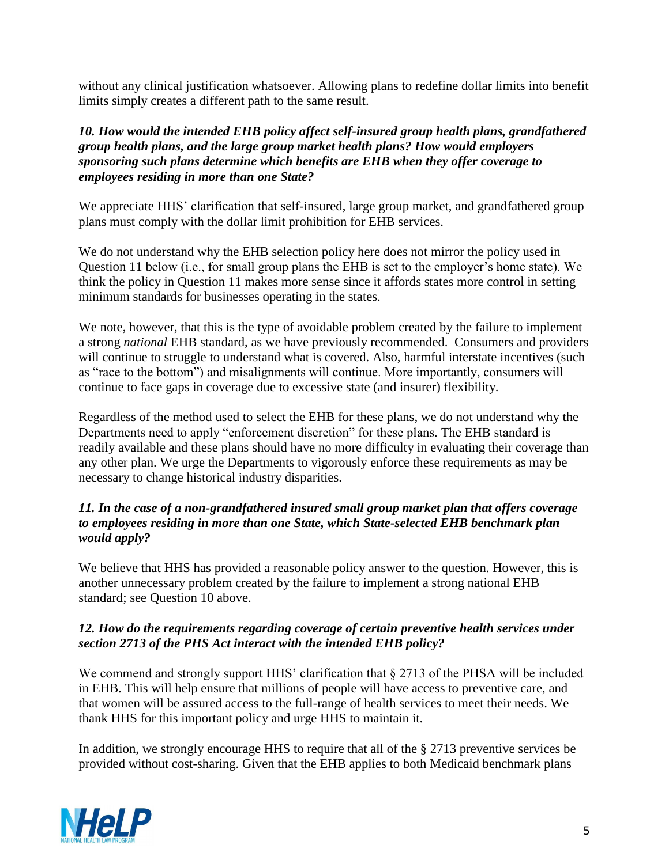without any clinical justification whatsoever. Allowing plans to redefine dollar limits into benefit limits simply creates a different path to the same result.

### *10. How would the intended EHB policy affect self-insured group health plans, grandfathered group health plans, and the large group market health plans? How would employers sponsoring such plans determine which benefits are EHB when they offer coverage to employees residing in more than one State?*

We appreciate HHS' clarification that self-insured, large group market, and grandfathered group plans must comply with the dollar limit prohibition for EHB services.

We do not understand why the EHB selection policy here does not mirror the policy used in Question 11 below (i.e., for small group plans the EHB is set to the employer's home state). We think the policy in Question 11 makes more sense since it affords states more control in setting minimum standards for businesses operating in the states.

We note, however, that this is the type of avoidable problem created by the failure to implement a strong *national* EHB standard, as we have previously recommended. Consumers and providers will continue to struggle to understand what is covered. Also, harmful interstate incentives (such as "race to the bottom") and misalignments will continue. More importantly, consumers will continue to face gaps in coverage due to excessive state (and insurer) flexibility.

Regardless of the method used to select the EHB for these plans, we do not understand why the Departments need to apply "enforcement discretion" for these plans. The EHB standard is readily available and these plans should have no more difficulty in evaluating their coverage than any other plan. We urge the Departments to vigorously enforce these requirements as may be necessary to change historical industry disparities.

## *11. In the case of a non-grandfathered insured small group market plan that offers coverage to employees residing in more than one State, which State-selected EHB benchmark plan would apply?*

We believe that HHS has provided a reasonable policy answer to the question. However, this is another unnecessary problem created by the failure to implement a strong national EHB standard; see Question 10 above.

# *12. How do the requirements regarding coverage of certain preventive health services under section 2713 of the PHS Act interact with the intended EHB policy?*

We commend and strongly support HHS' clarification that  $\S 2713$  of the PHSA will be included in EHB. This will help ensure that millions of people will have access to preventive care, and that women will be assured access to the full-range of health services to meet their needs. We thank HHS for this important policy and urge HHS to maintain it.

In addition, we strongly encourage HHS to require that all of the § 2713 preventive services be provided without cost-sharing. Given that the EHB applies to both Medicaid benchmark plans

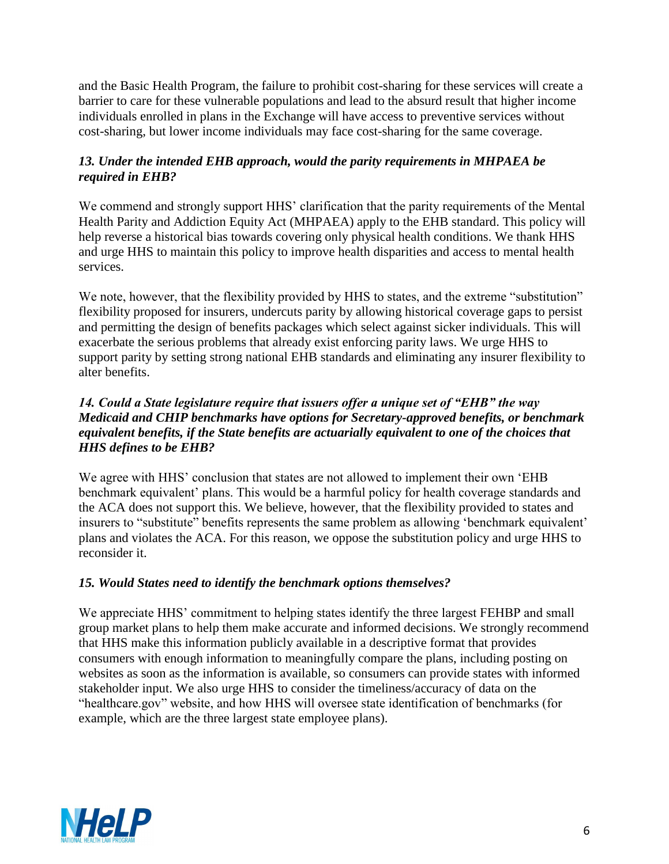and the Basic Health Program, the failure to prohibit cost-sharing for these services will create a barrier to care for these vulnerable populations and lead to the absurd result that higher income individuals enrolled in plans in the Exchange will have access to preventive services without cost-sharing, but lower income individuals may face cost-sharing for the same coverage.

## *13. Under the intended EHB approach, would the parity requirements in MHPAEA be required in EHB?*

We commend and strongly support HHS' clarification that the parity requirements of the Mental Health Parity and Addiction Equity Act (MHPAEA) apply to the EHB standard. This policy will help reverse a historical bias towards covering only physical health conditions. We thank HHS and urge HHS to maintain this policy to improve health disparities and access to mental health services.

We note, however, that the flexibility provided by HHS to states, and the extreme "substitution" flexibility proposed for insurers, undercuts parity by allowing historical coverage gaps to persist and permitting the design of benefits packages which select against sicker individuals. This will exacerbate the serious problems that already exist enforcing parity laws. We urge HHS to support parity by setting strong national EHB standards and eliminating any insurer flexibility to alter benefits.

### *14. Could a State legislature require that issuers offer a unique set of "EHB" the way Medicaid and CHIP benchmarks have options for Secretary-approved benefits, or benchmark equivalent benefits, if the State benefits are actuarially equivalent to one of the choices that HHS defines to be EHB?*

We agree with HHS' conclusion that states are not allowed to implement their own 'EHB benchmark equivalent' plans. This would be a harmful policy for health coverage standards and the ACA does not support this. We believe, however, that the flexibility provided to states and insurers to "substitute" benefits represents the same problem as allowing 'benchmark equivalent' plans and violates the ACA. For this reason, we oppose the substitution policy and urge HHS to reconsider it.

# *15. Would States need to identify the benchmark options themselves?*

We appreciate HHS' commitment to helping states identify the three largest FEHBP and small group market plans to help them make accurate and informed decisions. We strongly recommend that HHS make this information publicly available in a descriptive format that provides consumers with enough information to meaningfully compare the plans, including posting on websites as soon as the information is available, so consumers can provide states with informed stakeholder input. We also urge HHS to consider the timeliness/accuracy of data on the "healthcare.gov" website, and how HHS will oversee state identification of benchmarks (for example, which are the three largest state employee plans).

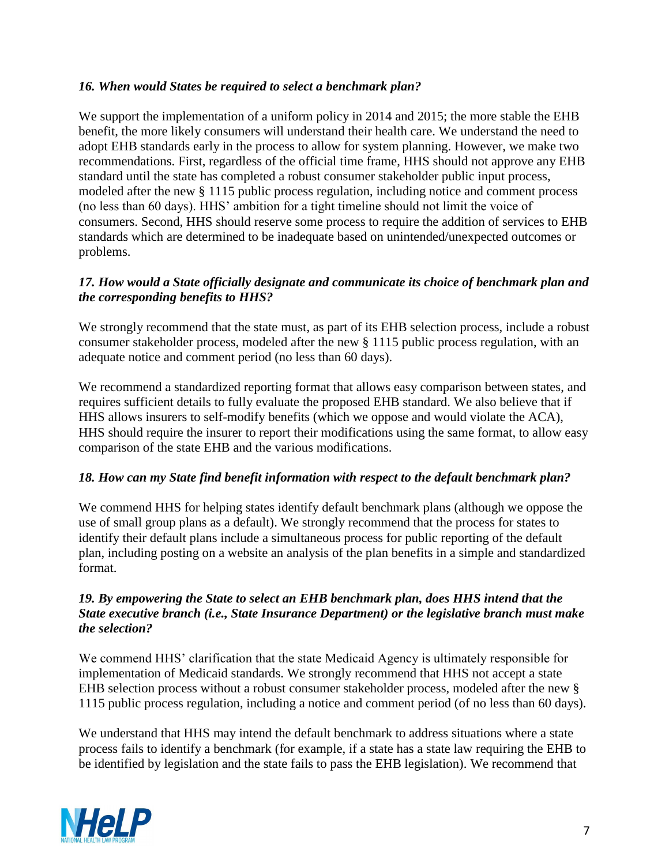## *16. When would States be required to select a benchmark plan?*

We support the implementation of a uniform policy in 2014 and 2015; the more stable the EHB benefit, the more likely consumers will understand their health care. We understand the need to adopt EHB standards early in the process to allow for system planning. However, we make two recommendations. First, regardless of the official time frame, HHS should not approve any EHB standard until the state has completed a robust consumer stakeholder public input process, modeled after the new § 1115 public process regulation, including notice and comment process (no less than 60 days). HHS' ambition for a tight timeline should not limit the voice of consumers. Second, HHS should reserve some process to require the addition of services to EHB standards which are determined to be inadequate based on unintended/unexpected outcomes or problems.

## *17. How would a State officially designate and communicate its choice of benchmark plan and the corresponding benefits to HHS?*

We strongly recommend that the state must, as part of its EHB selection process, include a robust consumer stakeholder process, modeled after the new § 1115 public process regulation, with an adequate notice and comment period (no less than 60 days).

We recommend a standardized reporting format that allows easy comparison between states, and requires sufficient details to fully evaluate the proposed EHB standard. We also believe that if HHS allows insurers to self-modify benefits (which we oppose and would violate the ACA), HHS should require the insurer to report their modifications using the same format, to allow easy comparison of the state EHB and the various modifications.

#### *18. How can my State find benefit information with respect to the default benchmark plan?*

We commend HHS for helping states identify default benchmark plans (although we oppose the use of small group plans as a default). We strongly recommend that the process for states to identify their default plans include a simultaneous process for public reporting of the default plan, including posting on a website an analysis of the plan benefits in a simple and standardized format.

#### *19. By empowering the State to select an EHB benchmark plan, does HHS intend that the State executive branch (i.e., State Insurance Department) or the legislative branch must make the selection?*

We commend HHS' clarification that the state Medicaid Agency is ultimately responsible for implementation of Medicaid standards. We strongly recommend that HHS not accept a state EHB selection process without a robust consumer stakeholder process, modeled after the new § 1115 public process regulation, including a notice and comment period (of no less than 60 days).

We understand that HHS may intend the default benchmark to address situations where a state process fails to identify a benchmark (for example, if a state has a state law requiring the EHB to be identified by legislation and the state fails to pass the EHB legislation). We recommend that

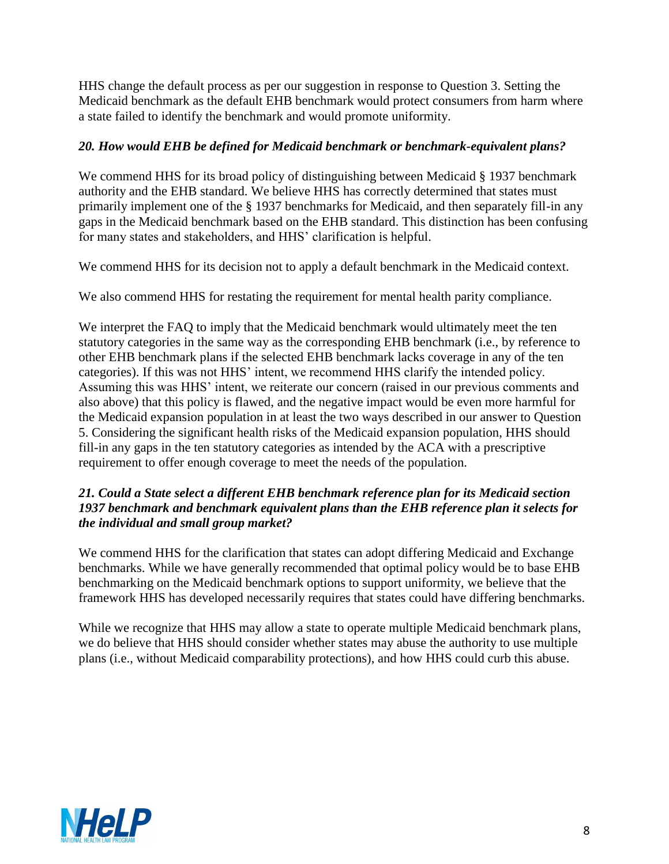HHS change the default process as per our suggestion in response to Question 3. Setting the Medicaid benchmark as the default EHB benchmark would protect consumers from harm where a state failed to identify the benchmark and would promote uniformity.

### *20. How would EHB be defined for Medicaid benchmark or benchmark-equivalent plans?*

We commend HHS for its broad policy of distinguishing between Medicaid § 1937 benchmark authority and the EHB standard. We believe HHS has correctly determined that states must primarily implement one of the § 1937 benchmarks for Medicaid, and then separately fill-in any gaps in the Medicaid benchmark based on the EHB standard. This distinction has been confusing for many states and stakeholders, and HHS' clarification is helpful.

We commend HHS for its decision not to apply a default benchmark in the Medicaid context.

We also commend HHS for restating the requirement for mental health parity compliance.

We interpret the FAQ to imply that the Medicaid benchmark would ultimately meet the ten statutory categories in the same way as the corresponding EHB benchmark (i.e., by reference to other EHB benchmark plans if the selected EHB benchmark lacks coverage in any of the ten categories). If this was not HHS' intent, we recommend HHS clarify the intended policy. Assuming this was HHS' intent, we reiterate our concern (raised in our previous comments and also above) that this policy is flawed, and the negative impact would be even more harmful for the Medicaid expansion population in at least the two ways described in our answer to Question 5. Considering the significant health risks of the Medicaid expansion population, HHS should fill-in any gaps in the ten statutory categories as intended by the ACA with a prescriptive requirement to offer enough coverage to meet the needs of the population.

### *21. Could a State select a different EHB benchmark reference plan for its Medicaid section 1937 benchmark and benchmark equivalent plans than the EHB reference plan it selects for the individual and small group market?*

We commend HHS for the clarification that states can adopt differing Medicaid and Exchange benchmarks. While we have generally recommended that optimal policy would be to base EHB benchmarking on the Medicaid benchmark options to support uniformity, we believe that the framework HHS has developed necessarily requires that states could have differing benchmarks.

While we recognize that HHS may allow a state to operate multiple Medicaid benchmark plans, we do believe that HHS should consider whether states may abuse the authority to use multiple plans (i.e., without Medicaid comparability protections), and how HHS could curb this abuse.